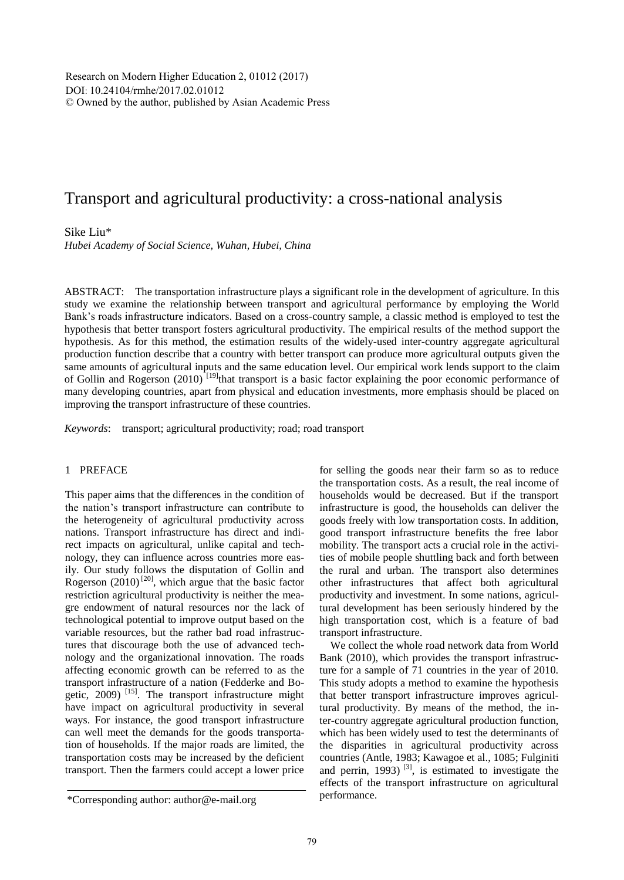Research on Modern Higher Education 2, 01012 (2017) DOI: 10.24104/rmhe/2017.02.01012 © Owned by the author, published by Asian Academic Press

# Transport and agricultural productivity: a cross-national analysis

## Sike Liu\*

*Hubei Academy of Social Science, Wuhan, Hubei, China*

ABSTRACT: The transportation infrastructure plays a significant role in the development of agriculture. In this study we examine the relationship between transport and agricultural performance by employing the World Bank's roads infrastructure indicators. Based on a cross-country sample, a classic method is employed to test the hypothesis that better transport fosters agricultural productivity. The empirical results of the method support the hypothesis. As for this method, the estimation results of the widely-used inter-country aggregate agricultural production function describe that a country with better transport can produce more agricultural outputs given the same amounts of agricultural inputs and the same education level. Our empirical work lends support to the claim of Gollin and Rogerson (2010)<sup>[19]</sup>that transport is a basic factor explaining the poor economic performance of many developing countries, apart from physical and education investments, more emphasis should be placed on improving the transport infrastructure of these countries.

*Keywords*: transport; agricultural productivity; road; road transport

# 1 PREFACE

This paper aims that the differences in the condition of the nation's transport infrastructure can contribute to the heterogeneity of agricultural productivity across nations. Transport infrastructure has direct and indirect impacts on agricultural, unlike capital and technology, they can influence across countries more easily. Our study follows the disputation of Gollin and Rogerson  $(2010)$ <sup>[20]</sup>, which argue that the basic factor restriction agricultural productivity is neither the meagre endowment of natural resources nor the lack of technological potential to improve output based on the variable resources, but the rather bad road infrastructures that discourage both the use of advanced technology and the organizational innovation. The roads affecting economic growth can be referred to as the transport infrastructure of a nation (Fedderke and Bogetic,  $2009$ <sup>[15]</sup>. The transport infrastructure might have impact on agricultural productivity in several ways. For instance, the good transport infrastructure can well meet the demands for the goods transportation of households. If the major roads are limited, the transportation costs may be increased by the deficient transport. Then the farmers could accept a lower price for selling the goods near their farm so as to reduce the transportation costs. As a result, the real income of households would be decreased. But if the transport infrastructure is good, the households can deliver the goods freely with low transportation costs. In addition, good transport infrastructure benefits the free labor mobility. The transport acts a crucial role in the activities of mobile people shuttling back and forth between the rural and urban. The transport also determines other infrastructures that affect both agricultural productivity and investment. In some nations, agricultural development has been seriously hindered by the high transportation cost, which is a feature of bad transport infrastructure.

We collect the whole road network data from World Bank (2010), which provides the transport infrastructure for a sample of 71 countries in the year of 2010. This study adopts a method to examine the hypothesis that better transport infrastructure improves agricultural productivity. By means of the method, the inter-country aggregate agricultural production function, which has been widely used to test the determinants of the disparities in agricultural productivity across countries (Antle, 1983; Kawagoe et al., 1085; Fulginiti and perrin,  $1993$ )<sup>[3]</sup>, is estimated to investigate the effects of the transport infrastructure on agricultural performance.

<sup>\*</sup>Corresponding author: author@e-mail.org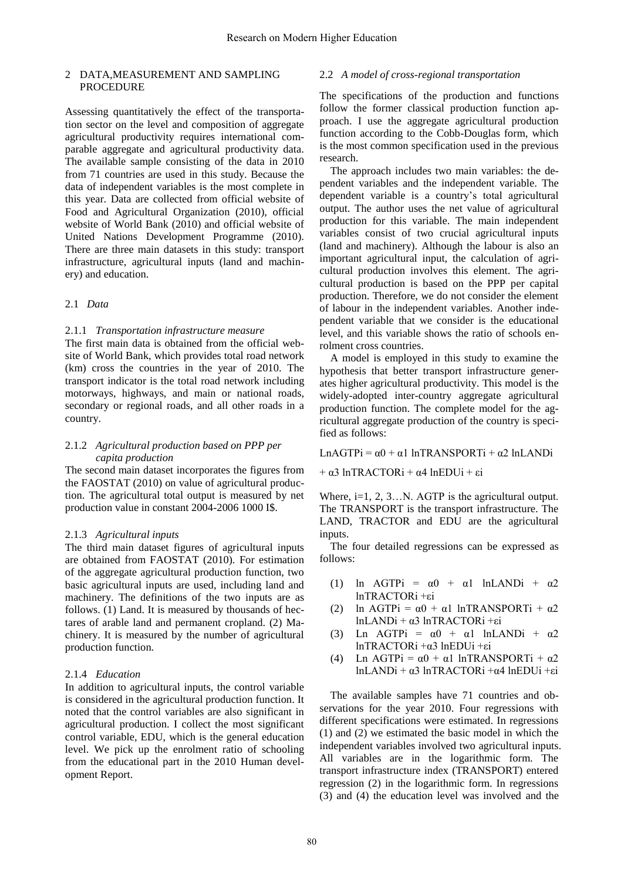### 2 DATA,MEASUREMENT AND SAMPLING **PROCEDURE**

Assessing quantitatively the effect of the transportation sector on the level and composition of aggregate agricultural productivity requires international comparable aggregate and agricultural productivity data. The available sample consisting of the data in 2010 from 71 countries are used in this study. Because the data of independent variables is the most complete in this year. Data are collected from official website of Food and Agricultural Organization (2010), official website of World Bank (2010) and official website of United Nations Development Programme (2010). There are three main datasets in this study: transport infrastructure, agricultural inputs (land and machinery) and education.

### 2.1 *Data*

#### 2.1.1 *Transportation infrastructure measure*

The first main data is obtained from the official website of World Bank, which provides total road network (km) cross the countries in the year of 2010. The transport indicator is the total road network including motorways, highways, and main or national roads, secondary or regional roads, and all other roads in a country.

### 2.1.2 *Agricultural production based on PPP per capita production*

The second main dataset incorporates the figures from the FAOSTAT (2010) on value of agricultural production. The agricultural total output is measured by net production value in constant 2004-2006 1000 I\$.

#### 2.1.3 *Agricultural inputs*

The third main dataset figures of agricultural inputs are obtained from FAOSTAT (2010). For estimation of the aggregate agricultural production function, two basic agricultural inputs are used, including land and machinery. The definitions of the two inputs are as follows. (1) Land. It is measured by thousands of hectares of arable land and permanent cropland. (2) Machinery. It is measured by the number of agricultural production function.

### 2.1.4 *Education*

In addition to agricultural inputs, the control variable is considered in the agricultural production function. It noted that the control variables are also significant in agricultural production. I collect the most significant control variable, EDU, which is the general education level. We pick up the enrolment ratio of schooling from the educational part in the 2010 Human development Report.

### 2.2 *A model of cross-regional transportation*

The specifications of the production and functions follow the former classical production function approach. I use the aggregate agricultural production function according to the Cobb-Douglas form, which is the most common specification used in the previous research.

The approach includes two main variables: the dependent variables and the independent variable. The dependent variable is a country's total agricultural output. The author uses the net value of agricultural production for this variable. The main independent variables consist of two crucial agricultural inputs (land and machinery). Although the labour is also an important agricultural input, the calculation of agricultural production involves this element. The agricultural production is based on the PPP per capital production. Therefore, we do not consider the element of labour in the independent variables. Another independent variable that we consider is the educational level, and this variable shows the ratio of schools enrolment cross countries.

A model is employed in this study to examine the hypothesis that better transport infrastructure generates higher agricultural productivity. This model is the widely-adopted inter-country aggregate agricultural production function. The complete model for the agricultural aggregate production of the country is specified as follows:

LnAGTPi =  $\alpha$ 0 +  $\alpha$ 1 lnTRANSPORTi +  $\alpha$ 2 lnLANDi

+ α3 lnTRACTORi + α4 lnEDUi + εi

Where, i=1, 2, 3...N. AGTP is the agricultural output. The TRANSPORT is the transport infrastructure. The LAND, TRACTOR and EDU are the agricultural inputs.

The four detailed regressions can be expressed as follows:

- (1) ln AGTPi =  $\alpha$ 0 +  $\alpha$ 1 lnLANDi +  $\alpha$ 2 lnTRACTORi +εi
- (2) ln AGTPi =  $\alpha$ 0 +  $\alpha$ 1 lnTRANSPORTi +  $\alpha$ 2 lnLANDi + α3 lnTRACTORi +εi
- (3) Ln AGTPi =  $\alpha$ 0 +  $\alpha$ 1 lnLANDi +  $\alpha$ 2 lnTRACTORi +α3 lnEDUi +εi
- (4) Ln AGTPi =  $\alpha$ 0 +  $\alpha$ 1 lnTRANSPORTi +  $\alpha$ 2 lnLANDi + α3 lnTRACTORi +α4 lnEDUi +εi

The available samples have 71 countries and observations for the year 2010. Four regressions with different specifications were estimated. In regressions (1) and (2) we estimated the basic model in which the independent variables involved two agricultural inputs. All variables are in the logarithmic form. The transport infrastructure index (TRANSPORT) entered regression (2) in the logarithmic form. In regressions (3) and (4) the education level was involved and the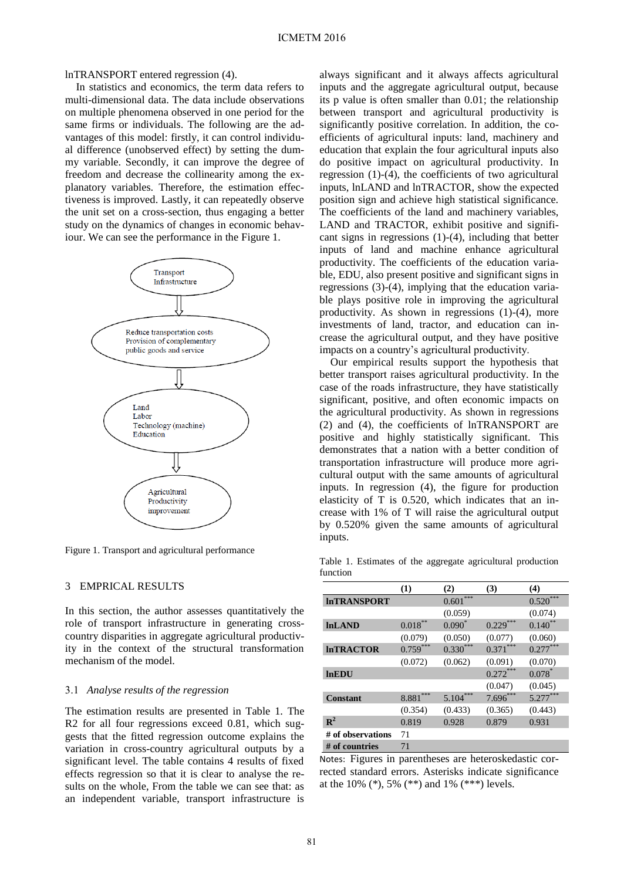lnTRANSPORT entered regression (4).

In statistics and economics, the term data refers to multi-dimensional data. The data include observations on multiple phenomena observed in one period for the same firms or individuals. The following are the advantages of this model: firstly, it can control individual difference (unobserved effect) by setting the dummy variable. Secondly, it can improve the degree of freedom and decrease the collinearity among the explanatory variables. Therefore, the estimation effectiveness is improved. Lastly, it can repeatedly observe the unit set on a cross-section, thus engaging a better study on the dynamics of changes in economic behaviour. We can see the performance in the Figure 1.



Figure 1. Transport and agricultural performance

#### 3 EMPRICAL RESULTS

In this section, the author assesses quantitatively the role of transport infrastructure in generating crosscountry disparities in aggregate agricultural productivity in the context of the structural transformation mechanism of the model.

### 3.1 *Analyse results of the regression*

The estimation results are presented in Table 1. The R2 for all four regressions exceed 0.81, which suggests that the fitted regression outcome explains the variation in cross-country agricultural outputs by a significant level. The table contains 4 results of fixed effects regression so that it is clear to analyse the results on the whole, From the table we can see that: as an independent variable, transport infrastructure is

always significant and it always affects agricultural inputs and the aggregate agricultural output, because its p value is often smaller than 0.01; the relationship between transport and agricultural productivity is significantly positive correlation. In addition, the coefficients of agricultural inputs: land, machinery and education that explain the four agricultural inputs also do positive impact on agricultural productivity. In regression (1)-(4), the coefficients of two agricultural inputs, lnLAND and lnTRACTOR, show the expected position sign and achieve high statistical significance. The coefficients of the land and machinery variables, LAND and TRACTOR, exhibit positive and significant signs in regressions (1)-(4), including that better inputs of land and machine enhance agricultural productivity. The coefficients of the education variable, EDU, also present positive and significant signs in regressions (3)-(4), implying that the education variable plays positive role in improving the agricultural productivity. As shown in regressions (1)-(4), more investments of land, tractor, and education can increase the agricultural output, and they have positive impacts on a country's agricultural productivity.

Our empirical results support the hypothesis that better transport raises agricultural productivity. In the case of the roads infrastructure, they have statistically significant, positive, and often economic impacts on the agricultural productivity. As shown in regressions (2) and (4), the coefficients of lnTRANSPORT are positive and highly statistically significant. This demonstrates that a nation with a better condition of transportation infrastructure will produce more agricultural output with the same amounts of agricultural inputs. In regression (4), the figure for production elasticity of T is 0.520, which indicates that an increase with 1% of T will raise the agricultural output by 0.520% given the same amounts of agricultural inputs.

Table 1. Estimates of the aggregate agricultural production function

|                    | (1)         | (2)          | (3)        | (4)          |
|--------------------|-------------|--------------|------------|--------------|
| <b>InTRANSPORT</b> |             | ***<br>0.601 |            | ***<br>0.520 |
|                    |             | (0.059)      |            | (0.074)      |
| <b>InLAND</b>      | $0.018^{*}$ | $0.090^*$    | 0.229      | $0.140^{**}$ |
|                    | (0.079)     | (0.050)      | (0.077)    | (0.060)      |
| <b>InTRACTOR</b>   | $0.759***$  | $0.330***$   | $0.371***$ | $0.277***$   |
|                    | (0.072)     | (0.062)      | (0.091)    | (0.070)      |
| <b>InEDU</b>       |             |              | $0.272***$ | $0.078*$     |
|                    |             |              | (0.047)    | (0.045)      |
| <b>Constant</b>    | 8.881       | $5.104***$   | $7.696***$ | $5.277***$   |
|                    | (0.354)     | (0.433)      | (0.365)    | (0.443)      |
| $\mathbf{R}^2$     | 0.819       | 0.928        | 0.879      | 0.931        |
| # of observations  | 71          |              |            |              |
| # of countries     | 71          |              |            |              |

Notes: Figures in parentheses are heteroskedastic corrected standard errors. Asterisks indicate significance at the 10% (\*), 5% (\*\*) and 1% (\*\*\*) levels.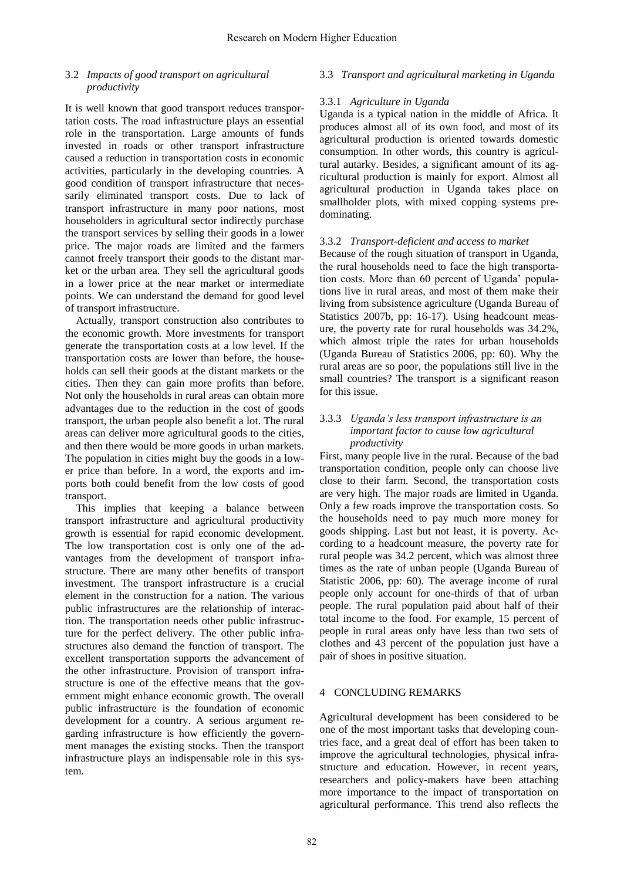### 3.2 *Impacts of good transport on agricultural productivity*

It is well known that good transport reduces transportation costs. The road infrastructure plays an essential role in the transportation. Large amounts of funds invested in roads or other transport infrastructure caused a reduction in transportation costs in economic activities, particularly in the developing countries. A good condition of transport infrastructure that necessarily eliminated transport costs. Due to lack of transport infrastructure in many poor nations, most householders in agricultural sector indirectly purchase the transport services by selling their goods in a lower price. The major roads are limited and the farmers cannot freely transport their goods to the distant market or the urban area. They sell the agricultural goods in a lower price at the near market or intermediate points. We can understand the demand for good level of transport infrastructure.

Actually, transport construction also contributes to the economic growth. More investments for transport generate the transportation costs at a low level. If the transportation costs are lower than before, the households can sell their goods at the distant markets or the cities. Then they can gain more profits than before. Not only the households in rural areas can obtain more advantages due to the reduction in the cost of goods transport, the urban people also benefit a lot. The rural areas can deliver more agricultural goods to the cities, and then there would be more goods in urban markets. The population in cities might buy the goods in a lower price than before. In a word, the exports and imports both could benefit from the low costs of good transport.

This implies that keeping a balance between transport infrastructure and agricultural productivity growth is essential for rapid economic development. The low transportation cost is only one of the advantages from the development of transport infrastructure. There are many other benefits of transport investment. The transport infrastructure is a crucial element in the construction for a nation. The various public infrastructures are the relationship of interaction. The transportation needs other public infrastructure for the perfect delivery. The other public infrastructures also demand the function of transport. The excellent transportation supports the advancement of the other infrastructure. Provision of transport infrastructure is one of the effective means that the government might enhance economic growth. The overall public infrastructure is the foundation of economic development for a country. A serious argument regarding infrastructure is how efficiently the government manages the existing stocks. Then the transport infrastructure plays an indispensable role in this system.

# 3.3 *Transport and agricultural marketing in Uganda*

# 3.3.1 *Agriculture in Uganda*

Uganda is a typical nation in the middle of Africa. It produces almost all of its own food, and most of its agricultural production is oriented towards domestic consumption. In other words, this country is agricultural autarky. Besides, a significant amount of its agricultural production is mainly for export. Almost all agricultural production in Uganda takes place on smallholder plots, with mixed copping systems predominating.

# 3.3.2 *Transport-deficient and access to market*

Because of the rough situation of transport in Uganda, the rural households need to face the high transportation costs. More than 60 percent of Uganda' populations live in rural areas, and most of them make their living from subsistence agriculture (Uganda Bureau of Statistics 2007b, pp: 16-17). Using headcount measure, the poverty rate for rural households was 34.2%, which almost triple the rates for urban households (Uganda Bureau of Statistics 2006, pp: 60). Why the rural areas are so poor, the populations still live in the small countries? The transport is a significant reason for this issue.

### 3.3.3 *Uganda's less transport infrastructure is an important factor to cause low agricultural productivity*

First, many people live in the rural. Because of the bad transportation condition, people only can choose live close to their farm. Second, the transportation costs are very high. The major roads are limited in Uganda. Only a few roads improve the transportation costs. So the households need to pay much more money for goods shipping. Last but not least, it is poverty. According to a headcount measure, the poverty rate for rural people was 34.2 percent, which was almost three times as the rate of unban people (Uganda Bureau of Statistic 2006, pp: 60). The average income of rural people only account for one-thirds of that of urban people. The rural population paid about half of their total income to the food. For example, 15 percent of people in rural areas only have less than two sets of clothes and 43 percent of the population just have a pair of shoes in positive situation.

# 4 CONCLUDING REMARKS

Agricultural development has been considered to be one of the most important tasks that developing countries face, and a great deal of effort has been taken to improve the agricultural technologies, physical infrastructure and education. However, in recent years, researchers and policy-makers have been attaching more importance to the impact of transportation on agricultural performance. This trend also reflects the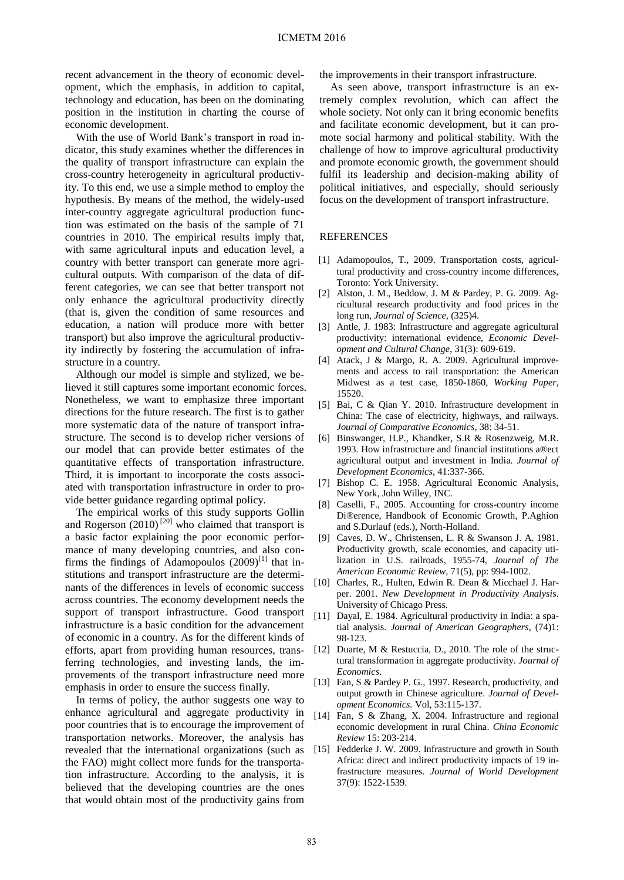recent advancement in the theory of economic development, which the emphasis, in addition to capital, technology and education, has been on the dominating position in the institution in charting the course of economic development.

With the use of World Bank's transport in road indicator, this study examines whether the differences in the quality of transport infrastructure can explain the cross-country heterogeneity in agricultural productivity. To this end, we use a simple method to employ the hypothesis. By means of the method, the widely-used inter-country aggregate agricultural production function was estimated on the basis of the sample of 71 countries in 2010. The empirical results imply that, with same agricultural inputs and education level, a country with better transport can generate more agricultural outputs. With comparison of the data of different categories, we can see that better transport not only enhance the agricultural productivity directly (that is, given the condition of same resources and education, a nation will produce more with better transport) but also improve the agricultural productivity indirectly by fostering the accumulation of infrastructure in a country.

Although our model is simple and stylized, we believed it still captures some important economic forces. Nonetheless, we want to emphasize three important directions for the future research. The first is to gather more systematic data of the nature of transport infrastructure. The second is to develop richer versions of our model that can provide better estimates of the quantitative effects of transportation infrastructure. Third, it is important to incorporate the costs associated with transportation infrastructure in order to provide better guidance regarding optimal policy.

The empirical works of this study supports Gollin and Rogerson  $(2010)$ <sup>[20]</sup> who claimed that transport is a basic factor explaining the poor economic performance of many developing countries, and also confirms the findings of Adamopoulos  $(2009)^{[1]}$  that institutions and transport infrastructure are the determinants of the differences in levels of economic success across countries. The economy development needs the support of transport infrastructure. Good transport infrastructure is a basic condition for the advancement of economic in a country. As for the different kinds of efforts, apart from providing human resources, trans- [12] Duarte, M & Restuccia, D., 2010. The role of the strucferring technologies, and investing lands, the improvements of the transport infrastructure need more emphasis in order to ensure the success finally.

In terms of policy, the author suggests one way to enhance agricultural and aggregate productivity in poor countries that is to encourage the improvement of transportation networks. Moreover, the analysis has revealed that the international organizations (such as the FAO) might collect more funds for the transportation infrastructure. According to the analysis, it is believed that the developing countries are the ones that would obtain most of the productivity gains from

the improvements in their transport infrastructure.

As seen above, transport infrastructure is an extremely complex revolution, which can affect the whole society. Not only can it bring economic benefits and facilitate economic development, but it can promote social harmony and political stability. With the challenge of how to improve agricultural productivity and promote economic growth, the government should fulfil its leadership and decision-making ability of political initiatives, and especially, should seriously focus on the development of transport infrastructure.

### **REFERENCES**

- [1] Adamopoulos, T., 2009. Transportation costs, agricultural productivity and cross-country income differences, Toronto: York University.
- [2] Alston, J. M., Beddow, J. M & Pardey, P. G. 2009. Agricultural research productivity and food prices in the long run, *Journal of Science*, (325)4.
- [3] Antle, J. 1983: Infrastructure and aggregate agricultural productivity: international evidence, *Economic Development and Cultural Change*, 31(3): 609-619.
- [4] Atack, J & Margo, R. A. 2009. Agricultural improvements and access to rail transportation: the American Midwest as a test case, 1850-1860, *Working Paper*, 15520.
- [5] Bai, C & Qian Y. 2010. Infrastructure development in China: The case of electricity, highways, and railways. *Journal of Comparative Economics,* 38: 34-51.
- [6] Binswanger, H.P., Khandker, S.R & Rosenzweig, M.R. 1993. How infrastructure and financial institutions a®ect agricultural output and investment in India. *Journal of Development Economics*, 41:337-366.
- [7] Bishop C. E. 1958. Agricultural Economic Analysis, New York, John Willey, INC.
- [8] Caselli, F., 2005. Accounting for cross-country income Di®erence, Handbook of Economic Growth, P.Aghion and S.Durlauf (eds.), North-Holland.
- [9] Caves, D. W., Christensen, L. R & Swanson J. A. 1981. Productivity growth, scale economies, and capacity utilization in U.S. railroads, 1955-74, *Journal of The American Economic Review*, 71(5), pp: 994-1002.
- [10] Charles, R., Hulten, Edwin R. Dean & Micchael J. Harper. 2001. *New Development in Productivity Analysi*s. University of Chicago Press.
- [11] Dayal, E. 1984. Agricultural productivity in India: a spatial analysis. *Journal of American Geographers*, (74)1: 98-123.
- tural transformation in aggregate productivity. *Journal of Economics*.
- [13] Fan, S & Pardey P. G., 1997. Research, productivity, and output growth in Chinese agriculture. *Journal of Development Economics.* Vol, 53:115-137.
- [14] Fan, S & Zhang, X. 2004. Infrastructure and regional economic development in rural China. *China Economic Review* 15: 203-214.
- [15] Fedderke J. W. 2009. Infrastructure and growth in South Africa: direct and indirect productivity impacts of 19 infrastructure measures. *Journal of World Development*  37(9): 1522-1539.